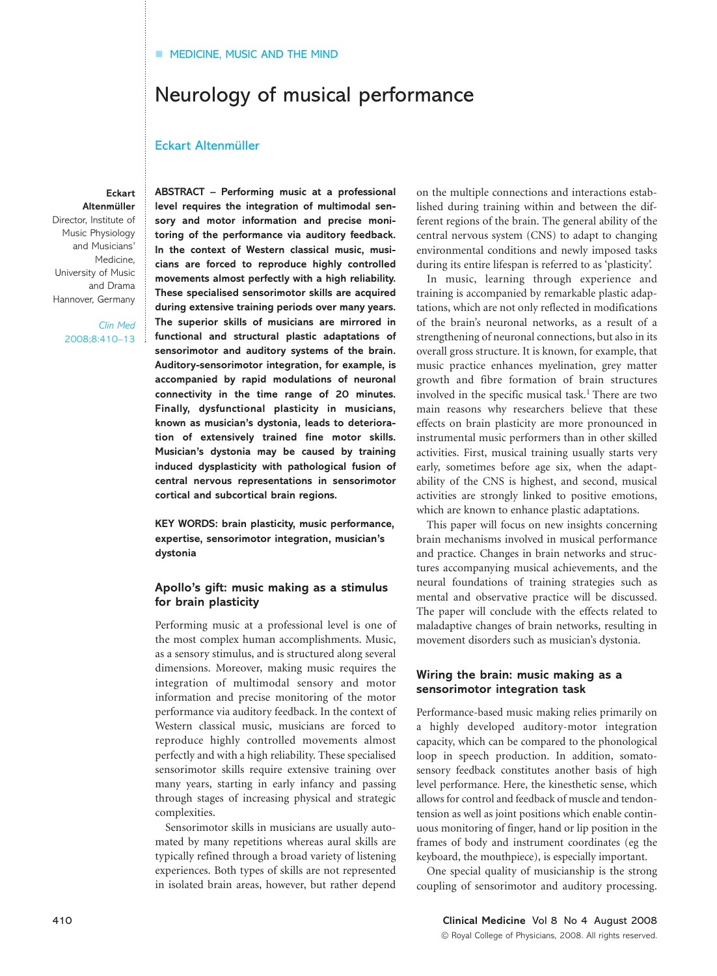# Neurology of musical performance

## Eckart Altenmüller

#### **Eckart Altenmüller**

Director, Institute of Music Physiology and Musicians' Medicine, University of Music and Drama Hannover, Germany

> *Clin Med* 2008;8:410–13

**ABSTRACT – Performing music at a professional level requires the integration of multimodal sensory and motor information and precise monitoring of the performance via auditory feedback. In the context of Western classical music, musicians are forced to reproduce highly controlled movements almost perfectly with a high reliability. These specialised sensorimotor skills are acquired during extensive training periods over many years. The superior skills of musicians are mirrored in functional and structural plastic adaptations of sensorimotor and auditory systems of the brain. Auditory-sensorimotor integration, for example, is accompanied by rapid modulations of neuronal connectivity in the time range of 20 minutes. Finally, dysfunctional plasticity in musicians, known as musician's dystonia, leads to deterioration of extensively trained fine motor skills. Musician's dystonia may be caused by training induced dysplasticity with pathological fusion of central nervous representations in sensorimotor cortical and subcortical brain regions.** 

**KEY WORDS: brain plasticity, music performance, expertise, sensorimotor integration, musician's dystonia**

## **Apollo's gift: music making as a stimulus for brain plasticity**

Performing music at a professional level is one of the most complex human accomplishments. Music, as a sensory stimulus, and is structured along several dimensions. Moreover, making music requires the integration of multimodal sensory and motor information and precise monitoring of the motor performance via auditory feedback. In the context of Western classical music, musicians are forced to reproduce highly controlled movements almost perfectly and with a high reliability. These specialised sensorimotor skills require extensive training over many years, starting in early infancy and passing through stages of increasing physical and strategic complexities.

Sensorimotor skills in musicians are usually automated by many repetitions whereas aural skills are typically refined through a broad variety of listening experiences. Both types of skills are not represented in isolated brain areas, however, but rather depend

on the multiple connections and interactions established during training within and between the different regions of the brain. The general ability of the central nervous system (CNS) to adapt to changing environmental conditions and newly imposed tasks during its entire lifespan is referred to as 'plasticity'.

In music, learning through experience and training is accompanied by remarkable plastic adaptations, which are not only reflected in modifications of the brain's neuronal networks, as a result of a strengthening of neuronal connections, but also in its overall gross structure. It is known, for example, that music practice enhances myelination, grey matter growth and fibre formation of brain structures involved in the specific musical task.<sup>1</sup> There are two main reasons why researchers believe that these effects on brain plasticity are more pronounced in instrumental music performers than in other skilled activities. First, musical training usually starts very early, sometimes before age six, when the adaptability of the CNS is highest, and second, musical activities are strongly linked to positive emotions, which are known to enhance plastic adaptations.

This paper will focus on new insights concerning brain mechanisms involved in musical performance and practice. Changes in brain networks and structures accompanying musical achievements, and the neural foundations of training strategies such as mental and observative practice will be discussed. The paper will conclude with the effects related to maladaptive changes of brain networks, resulting in movement disorders such as musician's dystonia.

### **Wiring the brain: music making as a sensorimotor integration task**

Performance-based music making relies primarily on a highly developed auditory-motor integration capacity, which can be compared to the phonological loop in speech production. In addition, somatosensory feedback constitutes another basis of high level performance. Here, the kinesthetic sense, which allows for control and feedback of muscle and tendontension as well as joint positions which enable continuous monitoring of finger, hand or lip position in the frames of body and instrument coordinates (eg the keyboard, the mouthpiece), is especially important.

One special quality of musicianship is the strong coupling of sensorimotor and auditory processing.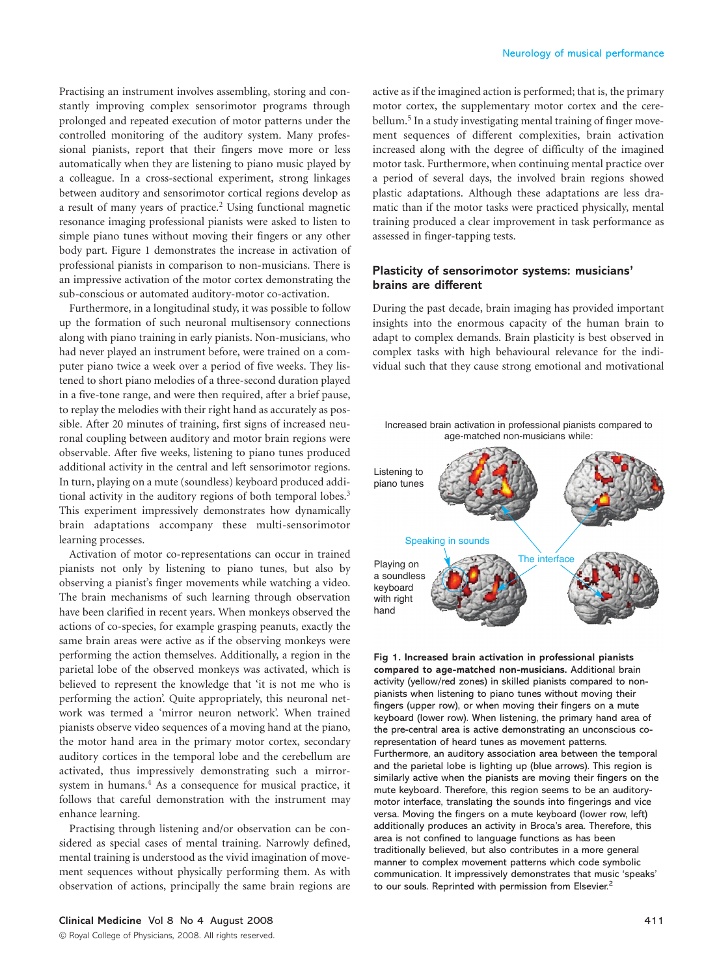Practising an instrument involves assembling, storing and constantly improving complex sensorimotor programs through prolonged and repeated execution of motor patterns under the controlled monitoring of the auditory system. Many professional pianists, report that their fingers move more or less automatically when they are listening to piano music played by a colleague. In a cross-sectional experiment, strong linkages between auditory and sensorimotor cortical regions develop as a result of many years of practice.<sup>2</sup> Using functional magnetic resonance imaging professional pianists were asked to listen to simple piano tunes without moving their fingers or any other body part. Figure 1 demonstrates the increase in activation of professional pianists in comparison to non-musicians. There is an impressive activation of the motor cortex demonstrating the sub-conscious or automated auditory-motor co-activation.

Furthermore, in a longitudinal study, it was possible to follow up the formation of such neuronal multisensory connections along with piano training in early pianists. Non-musicians, who had never played an instrument before, were trained on a computer piano twice a week over a period of five weeks. They listened to short piano melodies of a three-second duration played in a five-tone range, and were then required, after a brief pause, to replay the melodies with their right hand as accurately as possible. After 20 minutes of training, first signs of increased neuronal coupling between auditory and motor brain regions were observable. After five weeks, listening to piano tunes produced additional activity in the central and left sensorimotor regions. In turn, playing on a mute (soundless) keyboard produced additional activity in the auditory regions of both temporal lobes.<sup>3</sup> This experiment impressively demonstrates how dynamically brain adaptations accompany these multi-sensorimotor learning processes.

Activation of motor co-representations can occur in trained pianists not only by listening to piano tunes, but also by observing a pianist's finger movements while watching a video. The brain mechanisms of such learning through observation have been clarified in recent years. When monkeys observed the actions of co-species, for example grasping peanuts, exactly the same brain areas were active as if the observing monkeys were performing the action themselves. Additionally, a region in the parietal lobe of the observed monkeys was activated, which is believed to represent the knowledge that 'it is not me who is performing the action'. Quite appropriately, this neuronal network was termed a 'mirror neuron network'. When trained pianists observe video sequences of a moving hand at the piano, the motor hand area in the primary motor cortex, secondary auditory cortices in the temporal lobe and the cerebellum are activated, thus impressively demonstrating such a mirrorsystem in humans.<sup>4</sup> As a consequence for musical practice, it follows that careful demonstration with the instrument may enhance learning.

Practising through listening and/or observation can be considered as special cases of mental training. Narrowly defined, mental training is understood as the vivid imagination of movement sequences without physically performing them. As with observation of actions, principally the same brain regions are active as if the imagined action is performed; that is, the primary motor cortex, the supplementary motor cortex and the cerebellum.<sup>5</sup> In a study investigating mental training of finger movement sequences of different complexities, brain activation increased along with the degree of difficulty of the imagined motor task. Furthermore, when continuing mental practice over a period of several days, the involved brain regions showed plastic adaptations. Although these adaptations are less dramatic than if the motor tasks were practiced physically, mental training produced a clear improvement in task performance as assessed in finger-tapping tests.

## **Plasticity of sensorimotor systems: musicians' brains are different**

During the past decade, brain imaging has provided important insights into the enormous capacity of the human brain to adapt to complex demands. Brain plasticity is best observed in complex tasks with high behavioural relevance for the individual such that they cause strong emotional and motivational





**Fig 1. Increased brain activation in professional pianists compared to age-matched non-musicians.** Additional brain activity (yellow/red zones) in skilled pianists compared to nonpianists when listening to piano tunes without moving their fingers (upper row), or when moving their fingers on a mute keyboard (lower row). When listening, the primary hand area of the pre-central area is active demonstrating an unconscious corepresentation of heard tunes as movement patterns. Furthermore, an auditory association area between the temporal and the parietal lobe is lighting up (blue arrows). This region is similarly active when the pianists are moving their fingers on the mute keyboard. Therefore, this region seems to be an auditorymotor interface, translating the sounds into fingerings and vice versa. Moving the fingers on a mute keyboard (lower row, left) additionally produces an activity in Broca's area. Therefore, this area is not confined to language functions as has been traditionally believed, but also contributes in a more general manner to complex movement patterns which code symbolic communication. It impressively demonstrates that music 'speaks' to our souls. Reprinted with permission from Elsevier.<sup>2</sup>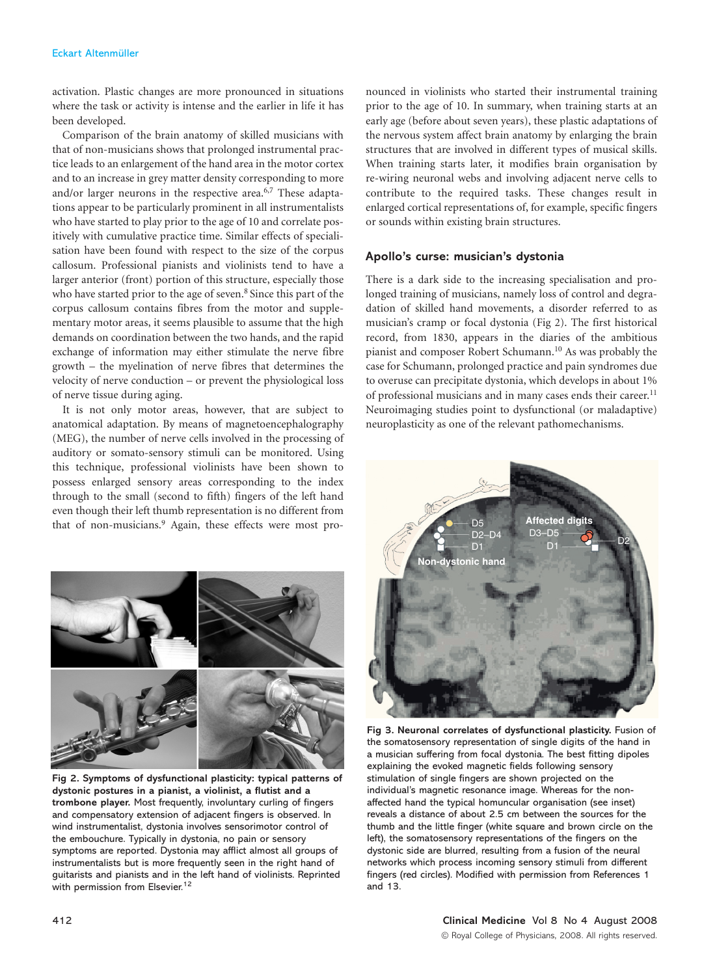activation. Plastic changes are more pronounced in situations where the task or activity is intense and the earlier in life it has been developed.

Comparison of the brain anatomy of skilled musicians with that of non-musicians shows that prolonged instrumental practice leads to an enlargement of the hand area in the motor cortex and to an increase in grey matter density corresponding to more and/or larger neurons in the respective area.<sup>6,7</sup> These adaptations appear to be particularly prominent in all instrumentalists who have started to play prior to the age of 10 and correlate positively with cumulative practice time. Similar effects of specialisation have been found with respect to the size of the corpus callosum. Professional pianists and violinists tend to have a larger anterior (front) portion of this structure, especially those who have started prior to the age of seven.<sup>8</sup> Since this part of the corpus callosum contains fibres from the motor and supplementary motor areas, it seems plausible to assume that the high demands on coordination between the two hands, and the rapid exchange of information may either stimulate the nerve fibre growth – the myelination of nerve fibres that determines the velocity of nerve conduction – or prevent the physiological loss of nerve tissue during aging.

It is not only motor areas, however, that are subject to anatomical adaptation. By means of magnetoencephalography (MEG), the number of nerve cells involved in the processing of auditory or somato-sensory stimuli can be monitored. Using this technique, professional violinists have been shown to possess enlarged sensory areas corresponding to the index through to the small (second to fifth) fingers of the left hand even though their left thumb representation is no different from that of non-musicians.<sup>9</sup> Again, these effects were most pro-



**Fig 2. Symptoms of dysfunctional plasticity: typical patterns of dystonic postures in a pianist, a violinist, a flutist and a trombone player.** Most frequently, involuntary curling of fingers and compensatory extension of adjacent fingers is observed. In wind instrumentalist, dystonia involves sensorimotor control of the embouchure. Typically in dystonia, no pain or sensory symptoms are reported. Dystonia may afflict almost all groups of instrumentalists but is more frequently seen in the right hand of guitarists and pianists and in the left hand of violinists. Reprinted with permission from Elsevier.<sup>12</sup>

nounced in violinists who started their instrumental training prior to the age of 10. In summary, when training starts at an early age (before about seven years), these plastic adaptations of the nervous system affect brain anatomy by enlarging the brain structures that are involved in different types of musical skills. When training starts later, it modifies brain organisation by re-wiring neuronal webs and involving adjacent nerve cells to contribute to the required tasks. These changes result in enlarged cortical representations of, for example, specific fingers or sounds within existing brain structures.

#### **Apollo's curse: musician's dystonia**

There is a dark side to the increasing specialisation and prolonged training of musicians, namely loss of control and degradation of skilled hand movements, a disorder referred to as musician's cramp or focal dystonia (Fig 2). The first historical record, from 1830, appears in the diaries of the ambitious pianist and composer Robert Schumann.<sup>10</sup> As was probably the case for Schumann, prolonged practice and pain syndromes due to overuse can precipitate dystonia, which develops in about 1% of professional musicians and in many cases ends their career.<sup>11</sup> Neuroimaging studies point to dysfunctional (or maladaptive) neuroplasticity as one of the relevant pathomechanisms.



**Fig 3. Neuronal correlates of dysfunctional plasticity.** Fusion of the somatosensory representation of single digits of the hand in a musician suffering from focal dystonia. The best fitting dipoles explaining the evoked magnetic fields following sensory stimulation of single fingers are shown projected on the individual's magnetic resonance image. Whereas for the nonaffected hand the typical homuncular organisation (see inset) reveals a distance of about 2.5 cm between the sources for the thumb and the little finger (white square and brown circle on the left), the somatosensory representations of the fingers on the dystonic side are blurred, resulting from a fusion of the neural networks which process incoming sensory stimuli from different fingers (red circles). Modified with permission from References 1 and 13.